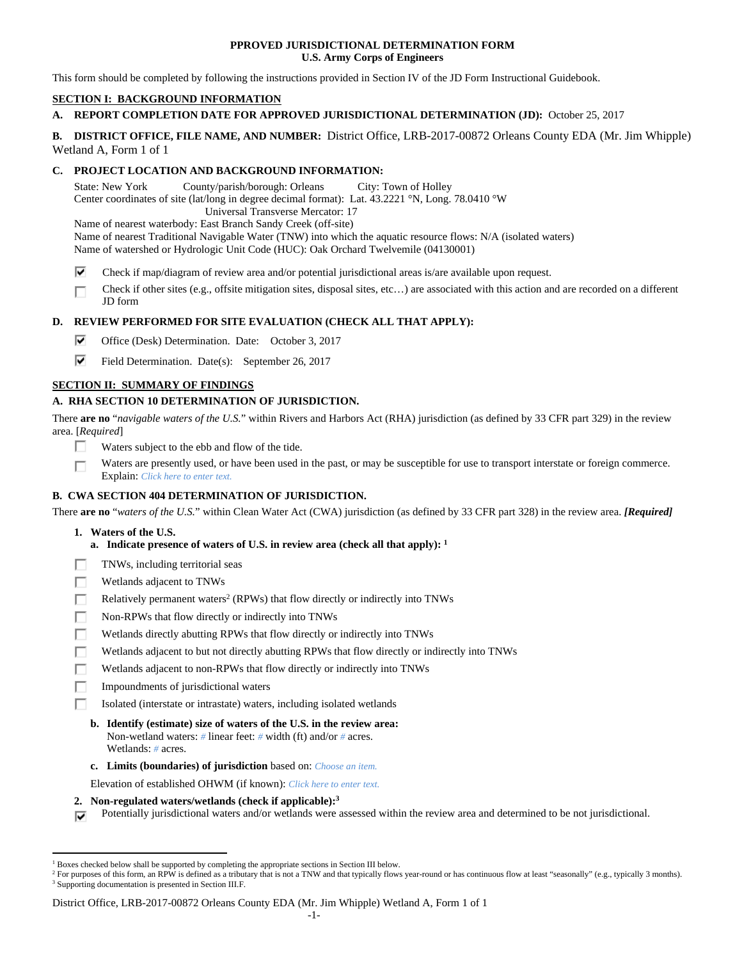### **PPROVED JURISDICTIONAL DETERMINATION FORM U.S. Army Corps of Engineers**

This form should be completed by following the instructions provided in Section IV of the JD Form Instructional Guidebook.

# **SECTION I: BACKGROUND INFORMATION**

# **A. REPORT COMPLETION DATE FOR APPROVED JURISDICTIONAL DETERMINATION (JD):** October 25, 2017

## **B. DISTRICT OFFICE, FILE NAME, AND NUMBER:** District Office, LRB-2017-00872 Orleans County EDA (Mr. Jim Whipple) Wetland A, Form 1 of 1

## **C. PROJECT LOCATION AND BACKGROUND INFORMATION:**

State: New York County/parish/borough: Orleans City: Town of Holley

Center coordinates of site (lat/long in degree decimal format): Lat. 43.2221 °N, Long. 78.0410 °W

Universal Transverse Mercator: 17

Name of nearest waterbody: East Branch Sandy Creek (off-site)

Name of nearest Traditional Navigable Water (TNW) into which the aquatic resource flows: N/A (isolated waters)

Name of watershed or Hydrologic Unit Code (HUC): Oak Orchard Twelvemile (04130001)

⊽ Check if map/diagram of review area and/or potential jurisdictional areas is/are available upon request.

Check if other sites (e.g., offsite mitigation sites, disposal sites, etc…) are associated with this action and are recorded on a different п JD form

# **D. REVIEW PERFORMED FOR SITE EVALUATION (CHECK ALL THAT APPLY):**

- ⊽. Office (Desk) Determination. Date: October 3, 2017
- ⊽. Field Determination. Date(s): September 26, 2017

## **SECTION II: SUMMARY OF FINDINGS**

## **A. RHA SECTION 10 DETERMINATION OF JURISDICTION.**

There **are no** "*navigable waters of the U.S.*" within Rivers and Harbors Act (RHA) jurisdiction (as defined by 33 CFR part 329) in the review area. [*Required*]

- П Waters subject to the ebb and flow of the tide.
- Waters are presently used, or have been used in the past, or may be susceptible for use to transport interstate or foreign commerce. П Explain: *Click here to enter text.*

# **B. CWA SECTION 404 DETERMINATION OF JURISDICTION.**

There **are no** "*waters of the U.S.*" within Clean Water Act (CWA) jurisdiction (as defined by 33 CFR part 328) in the review area. *[Required]*

 **1. Waters of the U.S.** 

 $\overline{a}$ 

г

- **a. Indicate presence of waters of U.S. in review area (check all that apply): 1**
- TNWs, including territorial seas г
- п Wetlands adjacent to TNWs
- П Relatively permanent waters<sup>2</sup> (RPWs) that flow directly or indirectly into TNWs
- г Non-RPWs that flow directly or indirectly into TNWs
- Wetlands directly abutting RPWs that flow directly or indirectly into TNWs
- П Wetlands adjacent to but not directly abutting RPWs that flow directly or indirectly into TNWs
- п Wetlands adjacent to non-RPWs that flow directly or indirectly into TNWs
- г Impoundments of jurisdictional waters
	- Isolated (interstate or intrastate) waters, including isolated wetlands
	- **b. Identify (estimate) size of waters of the U.S. in the review area:**  Non-wetland waters: *#* linear feet: *#* width (ft) and/or *#* acres. Wetlands: *#* acres.
	- **c. Limits (boundaries) of jurisdiction** based on: *Choose an item.*

Elevation of established OHWM (if known): *Click here to enter text.*

- **2. Non-regulated waters/wetlands (check if applicable):3**
- Potentially jurisdictional waters and/or wetlands were assessed within the review area and determined to be not jurisdictional. ⊽

<sup>&</sup>lt;sup>1</sup> Boxes checked below shall be supported by completing the appropriate sections in Section III below.<br><sup>2</sup> For purposes of this form, an PPW is defined as a tributary that is not a TNW and that typically flows

<sup>&</sup>lt;sup>2</sup> For purposes of this form, an RPW is defined as a tributary that is not a TNW and that typically flows year-round or has continuous flow at least "seasonally" (e.g., typically 3 months). <sup>3</sup> Supporting documentation is presented in Section III.F.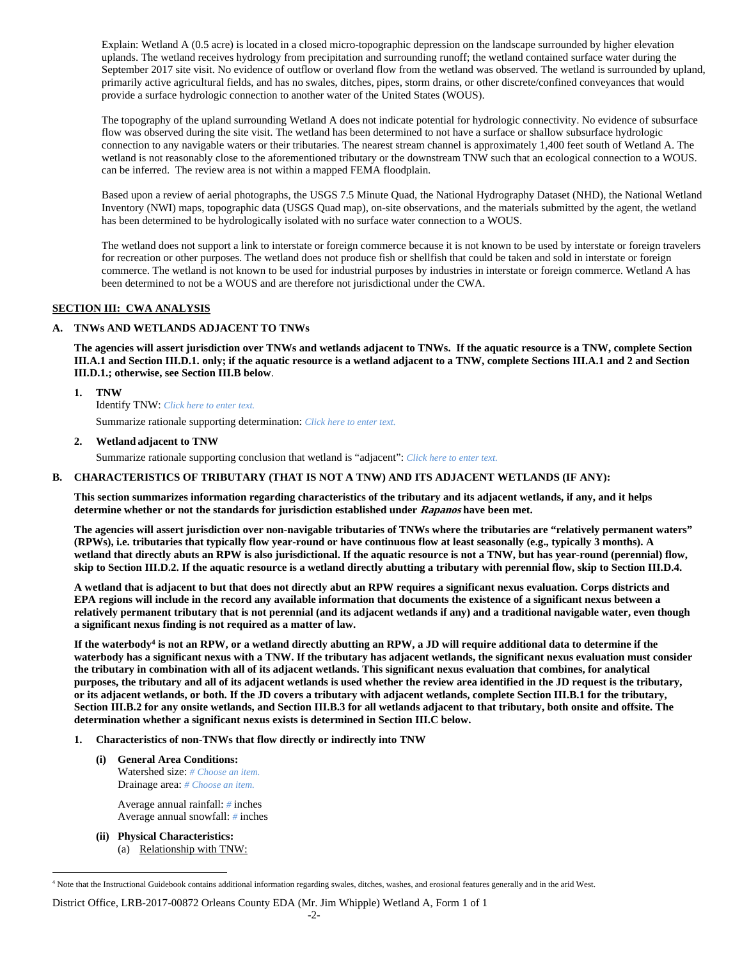Explain: Wetland A (0.5 acre) is located in a closed micro-topographic depression on the landscape surrounded by higher elevation uplands. The wetland receives hydrology from precipitation and surrounding runoff; the wetland contained surface water during the September 2017 site visit. No evidence of outflow or overland flow from the wetland was observed. The wetland is surrounded by upland, primarily active agricultural fields, and has no swales, ditches, pipes, storm drains, or other discrete/confined conveyances that would provide a surface hydrologic connection to another water of the United States (WOUS).

The topography of the upland surrounding Wetland A does not indicate potential for hydrologic connectivity. No evidence of subsurface flow was observed during the site visit. The wetland has been determined to not have a surface or shallow subsurface hydrologic connection to any navigable waters or their tributaries. The nearest stream channel is approximately 1,400 feet south of Wetland A. The wetland is not reasonably close to the aforementioned tributary or the downstream TNW such that an ecological connection to a WOUS. can be inferred. The review area is not within a mapped FEMA floodplain.

Based upon a review of aerial photographs, the USGS 7.5 Minute Quad, the National Hydrography Dataset (NHD), the National Wetland Inventory (NWI) maps, topographic data (USGS Quad map), on-site observations, and the materials submitted by the agent, the wetland has been determined to be hydrologically isolated with no surface water connection to a WOUS.

The wetland does not support a link to interstate or foreign commerce because it is not known to be used by interstate or foreign travelers for recreation or other purposes. The wetland does not produce fish or shellfish that could be taken and sold in interstate or foreign commerce. The wetland is not known to be used for industrial purposes by industries in interstate or foreign commerce. Wetland A has been determined to not be a WOUS and are therefore not jurisdictional under the CWA.

### **SECTION III: CWA ANALYSIS**

### **A. TNWs AND WETLANDS ADJACENT TO TNWs**

**The agencies will assert jurisdiction over TNWs and wetlands adjacent to TNWs. If the aquatic resource is a TNW, complete Section III.A.1 and Section III.D.1. only; if the aquatic resource is a wetland adjacent to a TNW, complete Sections III.A.1 and 2 and Section III.D.1.; otherwise, see Section III.B below**.

### **1. TNW**

Identify TNW: *Click here to enter text.*

Summarize rationale supporting determination: *Click here to enter text.*

### **2. Wetland adjacent to TNW**

Summarize rationale supporting conclusion that wetland is "adjacent": *Click here to enter text.*

### **B. CHARACTERISTICS OF TRIBUTARY (THAT IS NOT A TNW) AND ITS ADJACENT WETLANDS (IF ANY):**

**This section summarizes information regarding characteristics of the tributary and its adjacent wetlands, if any, and it helps determine whether or not the standards for jurisdiction established under Rapanos have been met.** 

**The agencies will assert jurisdiction over non-navigable tributaries of TNWs where the tributaries are "relatively permanent waters" (RPWs), i.e. tributaries that typically flow year-round or have continuous flow at least seasonally (e.g., typically 3 months). A wetland that directly abuts an RPW is also jurisdictional. If the aquatic resource is not a TNW, but has year-round (perennial) flow, skip to Section III.D.2. If the aquatic resource is a wetland directly abutting a tributary with perennial flow, skip to Section III.D.4.** 

**A wetland that is adjacent to but that does not directly abut an RPW requires a significant nexus evaluation. Corps districts and EPA regions will include in the record any available information that documents the existence of a significant nexus between a relatively permanent tributary that is not perennial (and its adjacent wetlands if any) and a traditional navigable water, even though a significant nexus finding is not required as a matter of law.** 

If the waterbody<sup>4</sup> is not an RPW, or a wetland directly abutting an RPW, a JD will require additional data to determine if the **waterbody has a significant nexus with a TNW. If the tributary has adjacent wetlands, the significant nexus evaluation must consider the tributary in combination with all of its adjacent wetlands. This significant nexus evaluation that combines, for analytical purposes, the tributary and all of its adjacent wetlands is used whether the review area identified in the JD request is the tributary, or its adjacent wetlands, or both. If the JD covers a tributary with adjacent wetlands, complete Section III.B.1 for the tributary, Section III.B.2 for any onsite wetlands, and Section III.B.3 for all wetlands adjacent to that tributary, both onsite and offsite. The determination whether a significant nexus exists is determined in Section III.C below.** 

### **1. Characteristics of non-TNWs that flow directly or indirectly into TNW**

 **(i) General Area Conditions:**  Watershed size: *# Choose an item.* Drainage area: *# Choose an item.*

> Average annual rainfall: *#* inches Average annual snowfall: *#* inches

 **(ii) Physical Characteristics:**  (a) Relationship with TNW:

 $\overline{a}$ 

<sup>4</sup> Note that the Instructional Guidebook contains additional information regarding swales, ditches, washes, and erosional features generally and in the arid West.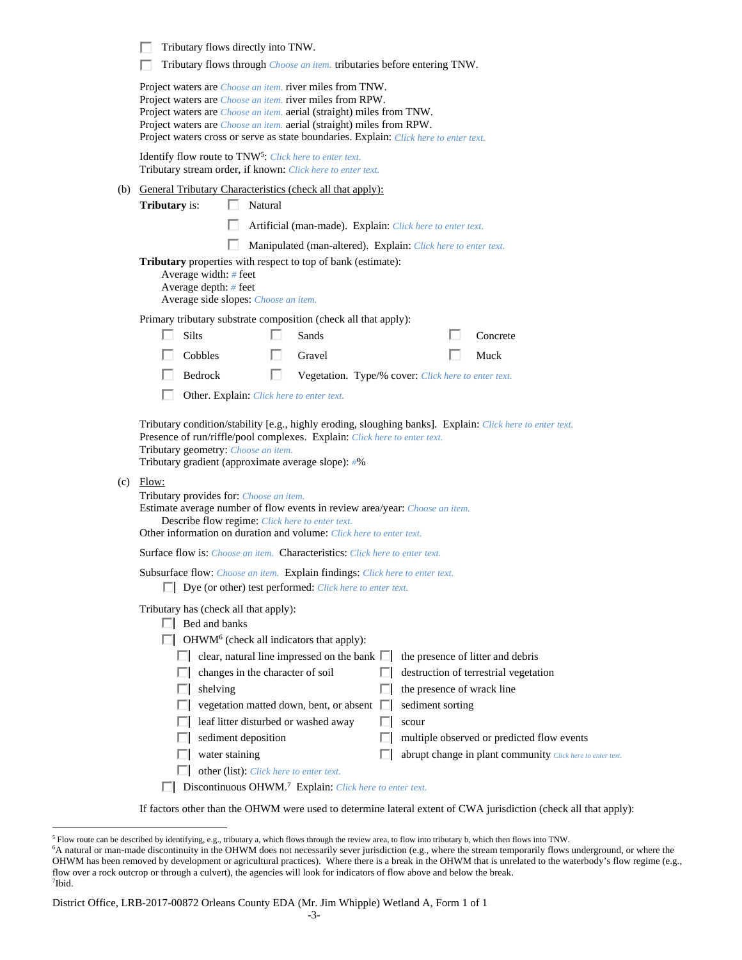|     | Tributary flows directly into TNW.<br>Tributary flows through <i>Choose an item</i> . tributaries before entering TNW.                                                                                                                                                                                                                                                                                                                                                                                                                           |  |  |  |  |
|-----|--------------------------------------------------------------------------------------------------------------------------------------------------------------------------------------------------------------------------------------------------------------------------------------------------------------------------------------------------------------------------------------------------------------------------------------------------------------------------------------------------------------------------------------------------|--|--|--|--|
|     | Project waters are <i>Choose an item.</i> river miles from TNW.<br>Project waters are <i>Choose an item</i> . river miles from RPW.<br>Project waters are <i>Choose an item.</i> aerial (straight) miles from TNW.<br>Project waters are <i>Choose an item.</i> aerial (straight) miles from RPW.<br>Project waters cross or serve as state boundaries. Explain: Click here to enter text.                                                                                                                                                       |  |  |  |  |
|     | Identify flow route to TNW <sup>5</sup> : Click here to enter text.<br>Tributary stream order, if known: Click here to enter text.                                                                                                                                                                                                                                                                                                                                                                                                               |  |  |  |  |
|     | (b) General Tributary Characteristics (check all that apply):                                                                                                                                                                                                                                                                                                                                                                                                                                                                                    |  |  |  |  |
|     | <b>Tributary</b> is:<br>Natural                                                                                                                                                                                                                                                                                                                                                                                                                                                                                                                  |  |  |  |  |
|     | Artificial (man-made). Explain: Click here to enter text.                                                                                                                                                                                                                                                                                                                                                                                                                                                                                        |  |  |  |  |
|     | Manipulated (man-altered). Explain: Click here to enter text.                                                                                                                                                                                                                                                                                                                                                                                                                                                                                    |  |  |  |  |
|     | Tributary properties with respect to top of bank (estimate):<br>Average width: # feet<br>Average depth: # feet<br>Average side slopes: Choose an item.                                                                                                                                                                                                                                                                                                                                                                                           |  |  |  |  |
|     | Primary tributary substrate composition (check all that apply):                                                                                                                                                                                                                                                                                                                                                                                                                                                                                  |  |  |  |  |
|     | Silts<br>Sands<br>Concrete                                                                                                                                                                                                                                                                                                                                                                                                                                                                                                                       |  |  |  |  |
|     | Cobbles<br>Gravel<br>Muck<br>U                                                                                                                                                                                                                                                                                                                                                                                                                                                                                                                   |  |  |  |  |
|     | Bedrock<br>□<br>Vegetation. Type/% cover: Click here to enter text.                                                                                                                                                                                                                                                                                                                                                                                                                                                                              |  |  |  |  |
|     | Other. Explain: Click here to enter text.                                                                                                                                                                                                                                                                                                                                                                                                                                                                                                        |  |  |  |  |
| (c) | Tributary condition/stability [e.g., highly eroding, sloughing banks]. Explain: Click here to enter text.<br>Presence of run/riffle/pool complexes. Explain: Click here to enter text.<br>Tributary geometry: Choose an item.<br>Tributary gradient (approximate average slope): #%<br>Flow:<br>Tributary provides for: Choose an item.<br>Estimate average number of flow events in review area/year: Choose an item.<br>Describe flow regime: Click here to enter text.<br>Other information on duration and volume: Click here to enter text. |  |  |  |  |
|     | Surface flow is: Choose an item. Characteristics: Click here to enter text.                                                                                                                                                                                                                                                                                                                                                                                                                                                                      |  |  |  |  |
|     | Subsurface flow: Choose an item. Explain findings: Click here to enter text.<br>Dye (or other) test performed: Click here to enter text.                                                                                                                                                                                                                                                                                                                                                                                                         |  |  |  |  |
|     | Tributary has (check all that apply):<br>$\Box$ Bed and banks<br>OHWM <sup>6</sup> (check all indicators that apply):                                                                                                                                                                                                                                                                                                                                                                                                                            |  |  |  |  |
|     | clear, natural line impressed on the bank $\Box$<br>the presence of litter and debris                                                                                                                                                                                                                                                                                                                                                                                                                                                            |  |  |  |  |
|     | destruction of terrestrial vegetation<br>changes in the character of soil                                                                                                                                                                                                                                                                                                                                                                                                                                                                        |  |  |  |  |
|     | the presence of wrack line<br>shelving                                                                                                                                                                                                                                                                                                                                                                                                                                                                                                           |  |  |  |  |
|     | vegetation matted down, bent, or absent<br>sediment sorting<br>U                                                                                                                                                                                                                                                                                                                                                                                                                                                                                 |  |  |  |  |
|     | leaf litter disturbed or washed away<br>scour                                                                                                                                                                                                                                                                                                                                                                                                                                                                                                    |  |  |  |  |
|     | sediment deposition<br>multiple observed or predicted flow events<br>water staining<br>abrupt change in plant community Click here to enter text.                                                                                                                                                                                                                                                                                                                                                                                                |  |  |  |  |
|     | other (list): Click here to enter text.                                                                                                                                                                                                                                                                                                                                                                                                                                                                                                          |  |  |  |  |
|     | Discontinuous OHWM. <sup>7</sup> Explain: Click here to enter text.                                                                                                                                                                                                                                                                                                                                                                                                                                                                              |  |  |  |  |
|     |                                                                                                                                                                                                                                                                                                                                                                                                                                                                                                                                                  |  |  |  |  |

If factors other than the OHWM were used to determine lateral extent of CWA jurisdiction (check all that apply):

<sup>&</sup>lt;sup>5</sup> Flow route can be described by identifying, e.g., tributary a, which flows through the review area, to flow into tributary b, which then flows into TNW.<br><sup>6</sup>A natural or man-made discontinuity in the OHWM does not neces OHWM has been removed by development or agricultural practices). Where there is a break in the OHWM that is unrelated to the waterbody's flow regime (e.g., flow over a rock outcrop or through a culvert), the agencies will look for indicators of flow above and below the break. 7 Ibid.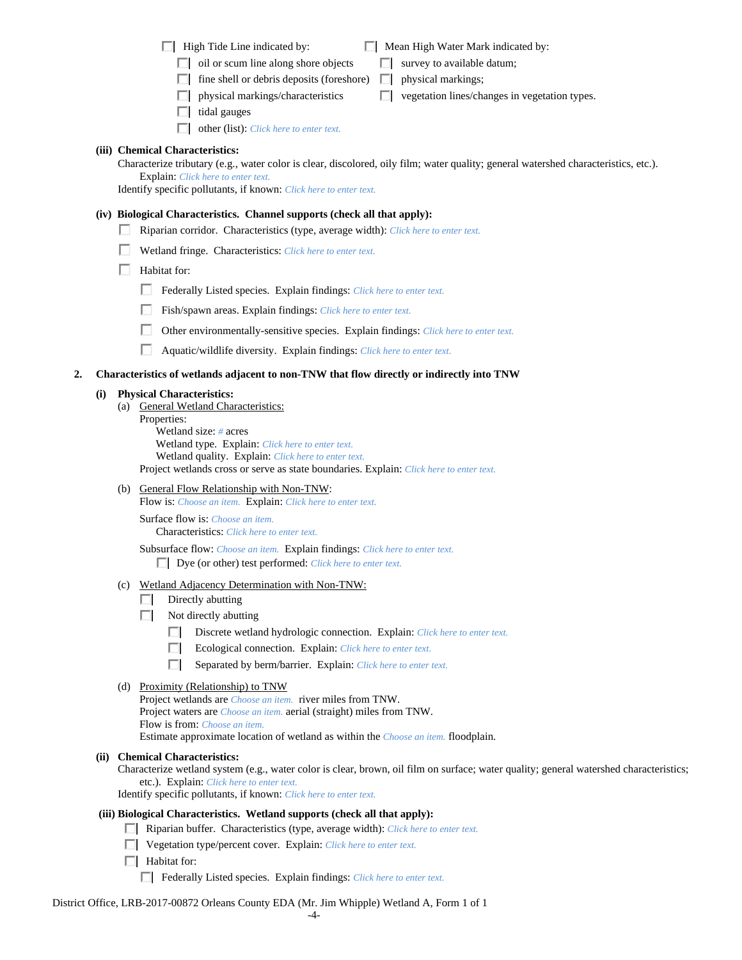| High Tide Line indicated by: |  |
|------------------------------|--|
|------------------------------|--|

| High Tide Line indicated by: | $\Box$ Mean High Water Mark indicated by: |
|------------------------------|-------------------------------------------|
|                              |                                           |

- $\Box$  oil or scum line along shore objects  $\Box$  survey to available datum;
- $\Box$  fine shell or debris deposits (foreshore)  $\Box$  physical markings;
- **F** physical markings/characteristics  $\Box$  vegetation lines/changes in vegetation types.
- $\Box$  tidal gauges
- other (list): *Click here to enter text.*

# **(iii) Chemical Characteristics:**

Characterize tributary (e.g., water color is clear, discolored, oily film; water quality; general watershed characteristics, etc.). Explain: *Click here to enter text.*

Identify specific pollutants, if known: *Click here to enter text.*

## **(iv) Biological Characteristics. Channel supports (check all that apply):**

- Riparian corridor. Characteristics (type, average width): *Click here to enter text.*
- Wetland fringe. Characteristics: *Click here to enter text.*
- $\Box$  Habitat for:
	- Federally Listed species. Explain findings: *Click here to enter text*.
	- Fish/spawn areas. Explain findings: *Click here to enter text*.
	- Other environmentally-sensitive species. Explain findings: *Click here to enter text.*
	- Aquatic/wildlife diversity. Explain findings: *Click here to enter text.*

## **2. Characteristics of wetlands adjacent to non-TNW that flow directly or indirectly into TNW**

## **(i) Physical Characteristics:**

- (a) General Wetland Characteristics:
	- Properties:

 Wetland size: *#* acres Wetland type. Explain: *Click here to enter text.* Wetland quality. Explain: *Click here to enter text.* Project wetlands cross or serve as state boundaries. Explain: *Click here to enter text.*

(b) General Flow Relationship with Non-TNW: Flow is: *Choose an item.* Explain: *Click here to enter text.*

 Surface flow is: *Choose an item.* Characteristics: *Click here to enter text.*

Subsurface flow: *Choose an item.* Explain findings: *Click here to enter text.*

- Dye (or other) test performed: *Click here to enter text.*
- (c) Wetland Adjacency Determination with Non-TNW:
	- $\Box$  Directly abutting
	- $\Box$  Not directly abutting
		- Discrete wetland hydrologic connection. Explain: *Click here to enter text.*
		- Ecological connection. Explain: *Click here to enter text.*
		- Separated by berm/barrier. Explain: *Click here to enter text.*
- (d) Proximity (Relationship) to TNW
	- Project wetlands are *Choose an item.* river miles from TNW. Project waters are *Choose an item.* aerial (straight) miles from TNW. Flow is from: *Choose an item.*

Estimate approximate location of wetland as within the *Choose an item.* floodplain.

## **(ii) Chemical Characteristics:**

Characterize wetland system (e.g., water color is clear, brown, oil film on surface; water quality; general watershed characteristics; etc.). Explain: *Click here to enter text.*

Identify specific pollutants, if known: *Click here to enter text.*

# **(iii) Biological Characteristics. Wetland supports (check all that apply):**

- Riparian buffer. Characteristics (type, average width): *Click here to enter text.*
- Vegetation type/percent cover. Explain: *Click here to enter text.*
- $\Box$  Habitat for:
	- Federally Listed species. Explain findings: *Click here to enter text*.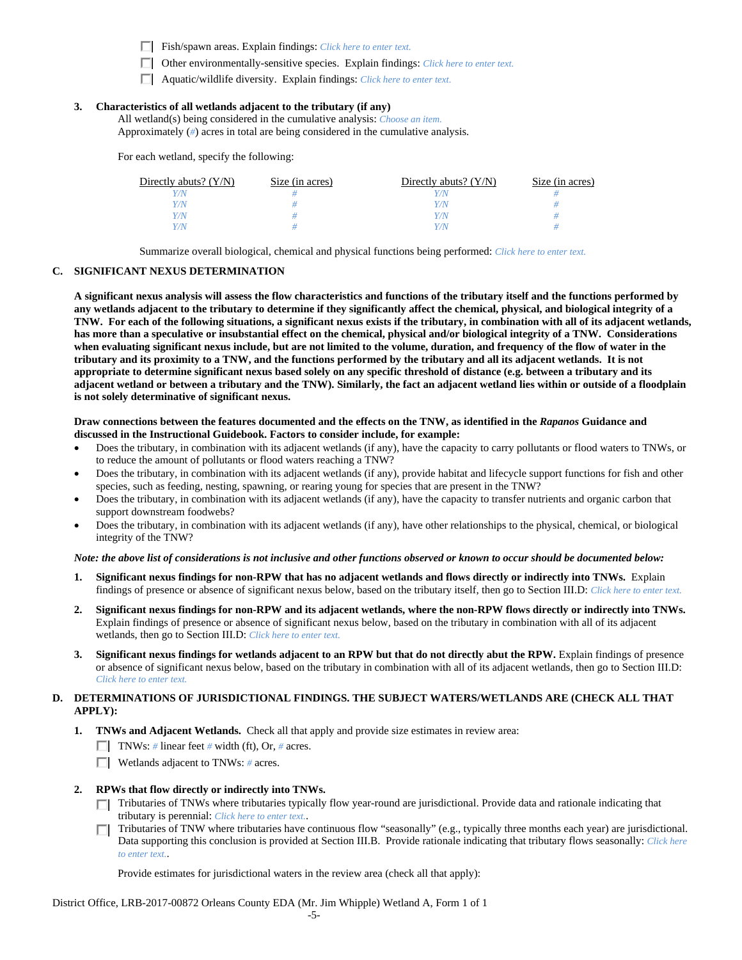- Fish/spawn areas. Explain findings: *Click here to enter text*.
- Other environmentally-sensitive species. Explain findings: *Click here to enter text.*
- Aquatic/wildlife diversity. Explain findings: *Click here to enter text.*

## **3. Characteristics of all wetlands adjacent to the tributary (if any)**

 All wetland(s) being considered in the cumulative analysis: *Choose an item.* Approximately (*#*) acres in total are being considered in the cumulative analysis.

For each wetland, specify the following:

| Directly abuts? $(Y/N)$ | Size (in acres) | Directly abuts? $(Y/N)$ | Size (in acres) |
|-------------------------|-----------------|-------------------------|-----------------|
|                         |                 |                         |                 |
| 7N                      |                 | <i>Y / N</i>            |                 |
| $\gamma_{N}$            |                 | Y / N                   |                 |
| $\gamma$                |                 | Y / N                   |                 |

Summarize overall biological, chemical and physical functions being performed: *Click here to enter text.*

#### **C. SIGNIFICANT NEXUS DETERMINATION**

**A significant nexus analysis will assess the flow characteristics and functions of the tributary itself and the functions performed by any wetlands adjacent to the tributary to determine if they significantly affect the chemical, physical, and biological integrity of a TNW. For each of the following situations, a significant nexus exists if the tributary, in combination with all of its adjacent wetlands, has more than a speculative or insubstantial effect on the chemical, physical and/or biological integrity of a TNW. Considerations when evaluating significant nexus include, but are not limited to the volume, duration, and frequency of the flow of water in the tributary and its proximity to a TNW, and the functions performed by the tributary and all its adjacent wetlands. It is not appropriate to determine significant nexus based solely on any specific threshold of distance (e.g. between a tributary and its adjacent wetland or between a tributary and the TNW). Similarly, the fact an adjacent wetland lies within or outside of a floodplain is not solely determinative of significant nexus.** 

#### **Draw connections between the features documented and the effects on the TNW, as identified in the** *Rapanos* **Guidance and discussed in the Instructional Guidebook. Factors to consider include, for example:**

- Does the tributary, in combination with its adjacent wetlands (if any), have the capacity to carry pollutants or flood waters to TNWs, or to reduce the amount of pollutants or flood waters reaching a TNW?
- Does the tributary, in combination with its adjacent wetlands (if any), provide habitat and lifecycle support functions for fish and other species, such as feeding, nesting, spawning, or rearing young for species that are present in the TNW?
- Does the tributary, in combination with its adjacent wetlands (if any), have the capacity to transfer nutrients and organic carbon that support downstream foodwebs?
- Does the tributary, in combination with its adjacent wetlands (if any), have other relationships to the physical, chemical, or biological integrity of the TNW?

#### *Note: the above list of considerations is not inclusive and other functions observed or known to occur should be documented below:*

- **1. Significant nexus findings for non-RPW that has no adjacent wetlands and flows directly or indirectly into TNWs.** Explain findings of presence or absence of significant nexus below, based on the tributary itself, then go to Section III.D: *Click here to enter text.*
- **2. Significant nexus findings for non-RPW and its adjacent wetlands, where the non-RPW flows directly or indirectly into TNWs.**  Explain findings of presence or absence of significant nexus below, based on the tributary in combination with all of its adjacent wetlands, then go to Section III.D: *Click here to enter text.*
- **3. Significant nexus findings for wetlands adjacent to an RPW but that do not directly abut the RPW.** Explain findings of presence or absence of significant nexus below, based on the tributary in combination with all of its adjacent wetlands, then go to Section III.D: *Click here to enter text.*

### **D. DETERMINATIONS OF JURISDICTIONAL FINDINGS. THE SUBJECT WATERS/WETLANDS ARE (CHECK ALL THAT APPLY):**

- **1. TNWs and Adjacent Wetlands.** Check all that apply and provide size estimates in review area:
	- **TNWs:** # linear feet # width (ft), Or, # acres.
	- Wetlands adjacent to TNWs: *#* acres.
- **2. RPWs that flow directly or indirectly into TNWs.** 
	- Tributaries of TNWs where tributaries typically flow year-round are jurisdictional. Provide data and rationale indicating that tributary is perennial: *Click here to enter text.*.
	- Tributaries of TNW where tributaries have continuous flow "seasonally" (e.g., typically three months each year) are jurisdictional. П. Data supporting this conclusion is provided at Section III.B. Provide rationale indicating that tributary flows seasonally: *Click here to enter text.*.

Provide estimates for jurisdictional waters in the review area (check all that apply):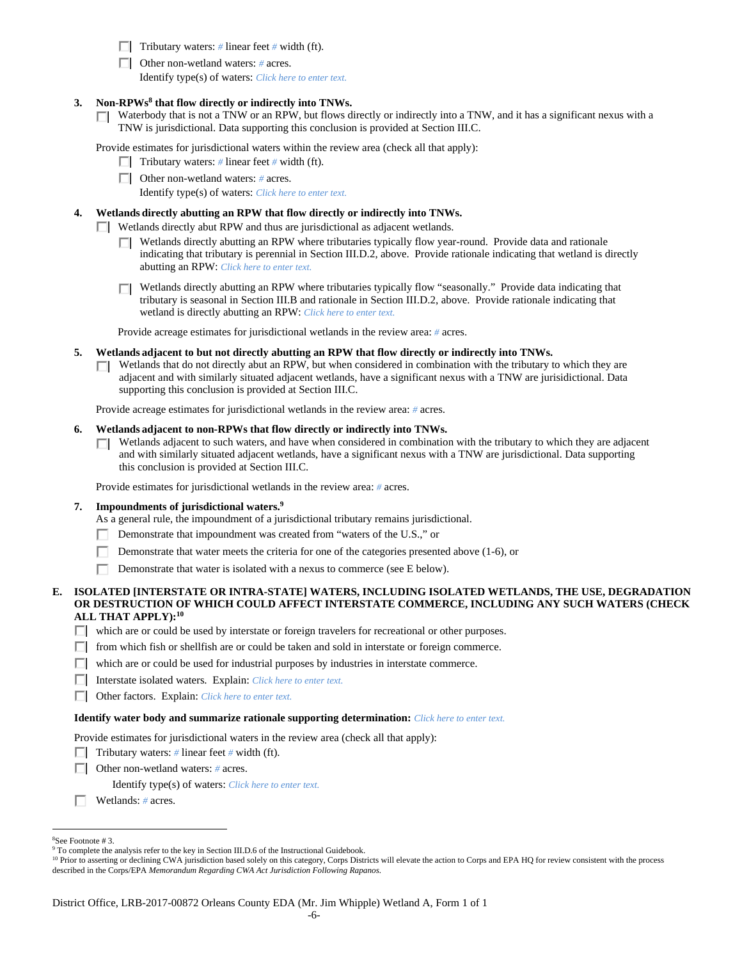**Tributary waters:** # linear feet # width (ft).

Other non-wetland waters: *#* acres.

Identify type(s) of waters: *Click here to enter text.*

- **3. Non-RPWs8 that flow directly or indirectly into TNWs.**
	- Waterbody that is not a TNW or an RPW, but flows directly or indirectly into a TNW, and it has a significant nexus with a П. TNW is jurisdictional. Data supporting this conclusion is provided at Section III.C.

Provide estimates for jurisdictional waters within the review area (check all that apply):

- **Tributary waters:** # linear feet # width (ft).
- Other non-wetland waters: *#* acres.

Identify type(s) of waters: *Click here to enter text.*

### **4. Wetlands directly abutting an RPW that flow directly or indirectly into TNWs.**

- Wetlands directly abut RPW and thus are jurisdictional as adjacent wetlands.
	- Wetlands directly abutting an RPW where tributaries typically flow year-round. Provide data and rationale ПL. indicating that tributary is perennial in Section III.D.2, above. Provide rationale indicating that wetland is directly abutting an RPW: *Click here to enter text.*
	- □ Wetlands directly abutting an RPW where tributaries typically flow "seasonally." Provide data indicating that tributary is seasonal in Section III.B and rationale in Section III.D.2, above. Provide rationale indicating that wetland is directly abutting an RPW: *Click here to enter text.*

Provide acreage estimates for jurisdictional wetlands in the review area: *#* acres.

- **5. Wetlands adjacent to but not directly abutting an RPW that flow directly or indirectly into TNWs.** 
	- $\Box$  Wetlands that do not directly abut an RPW, but when considered in combination with the tributary to which they are adjacent and with similarly situated adjacent wetlands, have a significant nexus with a TNW are jurisidictional. Data supporting this conclusion is provided at Section III.C.

Provide acreage estimates for jurisdictional wetlands in the review area: *#* acres.

### **6. Wetlands adjacent to non-RPWs that flow directly or indirectly into TNWs.**

Wetlands adjacent to such waters, and have when considered in combination with the tributary to which they are adjacent and with similarly situated adjacent wetlands, have a significant nexus with a TNW are jurisdictional. Data supporting this conclusion is provided at Section III.C.

Provide estimates for jurisdictional wetlands in the review area: *#* acres.

#### **7. Impoundments of jurisdictional waters.9**

As a general rule, the impoundment of a jurisdictional tributary remains jurisdictional.

- Demonstrate that impoundment was created from "waters of the U.S.," or п
- Demonstrate that water meets the criteria for one of the categories presented above (1-6), or п
- п Demonstrate that water is isolated with a nexus to commerce (see E below).

### **E. ISOLATED [INTERSTATE OR INTRA-STATE] WATERS, INCLUDING ISOLATED WETLANDS, THE USE, DEGRADATION OR DESTRUCTION OF WHICH COULD AFFECT INTERSTATE COMMERCE, INCLUDING ANY SUCH WATERS (CHECK ALL THAT APPLY):10**

which are or could be used by interstate or foreign travelers for recreational or other purposes.

- from which fish or shellfish are or could be taken and sold in interstate or foreign commerce.
- $\Box$  which are or could be used for industrial purposes by industries in interstate commerce.
- Interstate isolated waters.Explain: *Click here to enter text.*
- Other factors.Explain: *Click here to enter text.*

#### **Identify water body and summarize rationale supporting determination:** *Click here to enter text.*

Provide estimates for jurisdictional waters in the review area (check all that apply):

- Tributary waters:  $\#$  linear feet  $\#$  width (ft).
- Other non-wetland waters: *#* acres.

Identify type(s) of waters: *Click here to enter text.*

Wetlands: *#* acres.

<sup>10</sup> Prior to asserting or declining CWA jurisdiction based solely on this category, Corps Districts will elevate the action to Corps and EPA HQ for review consistent with the process described in the Corps/EPA *Memorandum Regarding CWA Act Jurisdiction Following Rapanos.*

 $\overline{a}$ 8 See Footnote # 3.

<sup>&</sup>lt;sup>9</sup> To complete the analysis refer to the key in Section III.D.6 of the Instructional Guidebook.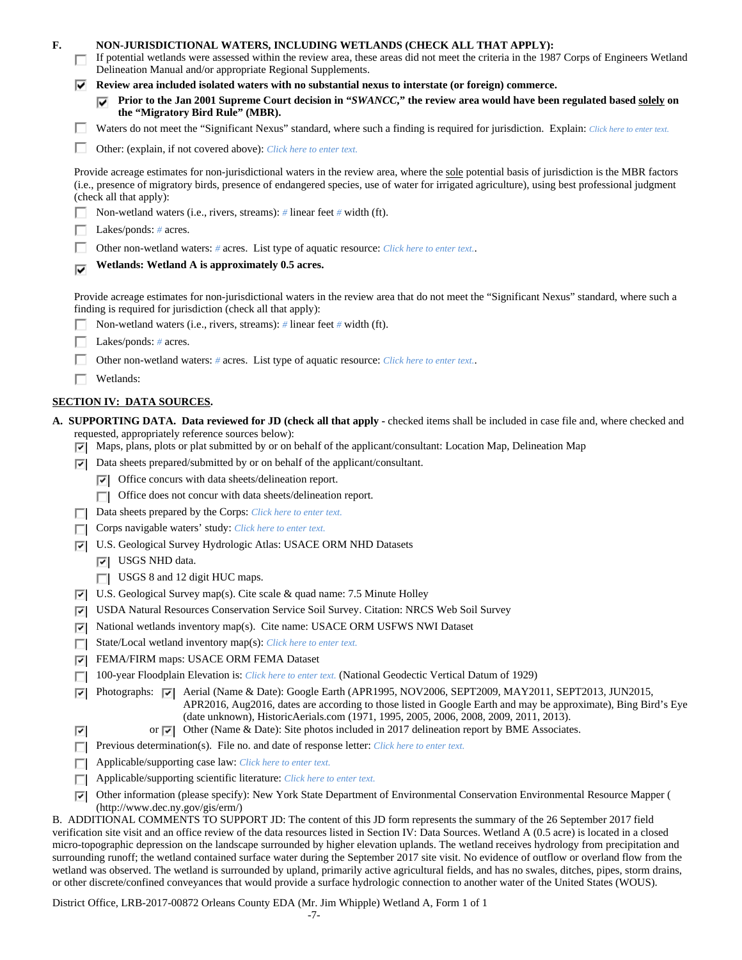| F. |        | NON-JURISDICTIONAL WATERS, INCLUDING WETLANDS (CHECK ALL THAT APPLY):<br>If potential wetlands were assessed within the review area, these areas did not meet the criteria in the 1987 Corps of Engineers Wetland<br>Delineation Manual and/or appropriate Regional Supplements.                                                                                                                                                                    |
|----|--------|-----------------------------------------------------------------------------------------------------------------------------------------------------------------------------------------------------------------------------------------------------------------------------------------------------------------------------------------------------------------------------------------------------------------------------------------------------|
|    | v.     | Review area included isolated waters with no substantial nexus to interstate (or foreign) commerce.                                                                                                                                                                                                                                                                                                                                                 |
|    |        | Prior to the Jan 2001 Supreme Court decision in "SWANCC," the review area would have been regulated based solely on<br>the "Migratory Bird Rule" (MBR).                                                                                                                                                                                                                                                                                             |
|    |        | Waters do not meet the "Significant Nexus" standard, where such a finding is required for jurisdiction. Explain: Click here to enter text.                                                                                                                                                                                                                                                                                                          |
|    |        | Other: (explain, if not covered above): Click here to enter text.                                                                                                                                                                                                                                                                                                                                                                                   |
|    |        | Provide acreage estimates for non-jurisdictional waters in the review area, where the sole potential basis of jurisdiction is the MBR factors<br>(i.e., presence of migratory birds, presence of endangered species, use of water for irrigated agriculture), using best professional judgment<br>(check all that apply):                                                                                                                           |
|    |        | Non-wetland waters (i.e., rivers, streams): $\#$ linear feet $\#$ width (ft).                                                                                                                                                                                                                                                                                                                                                                       |
|    |        | Lakes/ponds: $# \, \text{acres.}$                                                                                                                                                                                                                                                                                                                                                                                                                   |
|    |        | Other non-wetland waters: # acres. List type of aquatic resource: Click here to enter text                                                                                                                                                                                                                                                                                                                                                          |
|    | ⊽      | Wetlands: Wetland A is approximately 0.5 acres.                                                                                                                                                                                                                                                                                                                                                                                                     |
|    |        | Provide acreage estimates for non-jurisdictional waters in the review area that do not meet the "Significant Nexus" standard, where such a<br>finding is required for jurisdiction (check all that apply):<br>Non-wetland waters (i.e., rivers, streams): $\#$ linear feet $\#$ width (ft).                                                                                                                                                         |
|    |        | Lakes/ponds: $# \, \text{acres.}$                                                                                                                                                                                                                                                                                                                                                                                                                   |
|    |        | Other non-wetland waters: # acres. List type of aquatic resource: Click here to enter text                                                                                                                                                                                                                                                                                                                                                          |
|    |        | Wetlands:                                                                                                                                                                                                                                                                                                                                                                                                                                           |
|    |        | <b>SECTION IV: DATA SOURCES.</b>                                                                                                                                                                                                                                                                                                                                                                                                                    |
|    |        | A. SUPPORTING DATA. Data reviewed for JD (check all that apply - checked items shall be included in case file and, where checked and<br>requested, appropriately reference sources below):<br>$\triangledown$ Maps, plans, plots or plat submitted by or on behalf of the applicant/consultant: Location Map, Delineation Map                                                                                                                       |
|    |        | $ \nabla $ Data sheets prepared/submitted by or on behalf of the applicant/consultant.                                                                                                                                                                                                                                                                                                                                                              |
|    |        | $ \vec{v} $ Office concurs with data sheets/delineation report.                                                                                                                                                                                                                                                                                                                                                                                     |
|    |        | Office does not concur with data sheets/delineation report.                                                                                                                                                                                                                                                                                                                                                                                         |
|    |        | Data sheets prepared by the Corps: Click here to enter text.                                                                                                                                                                                                                                                                                                                                                                                        |
|    |        | Corps navigable waters' study: Click here to enter text.                                                                                                                                                                                                                                                                                                                                                                                            |
|    |        |                                                                                                                                                                                                                                                                                                                                                                                                                                                     |
|    | ⊡      | U.S. Geological Survey Hydrologic Atlas: USACE ORM NHD Datasets<br>$ \overline{v} $ USGS NHD data.                                                                                                                                                                                                                                                                                                                                                  |
|    |        |                                                                                                                                                                                                                                                                                                                                                                                                                                                     |
|    |        | <b>USGS 8</b> and 12 digit HUC maps.                                                                                                                                                                                                                                                                                                                                                                                                                |
|    | 罓      | U.S. Geological Survey map(s). Cite scale & quad name: 7.5 Minute Holley                                                                                                                                                                                                                                                                                                                                                                            |
|    | 罓      | USDA Natural Resources Conservation Service Soil Survey. Citation: NRCS Web Soil Survey                                                                                                                                                                                                                                                                                                                                                             |
|    | ☞      | National wetlands inventory map(s). Cite name: USACE ORM USFWS NWI Dataset                                                                                                                                                                                                                                                                                                                                                                          |
|    | П      | State/Local wetland inventory map(s): Click here to enter text.                                                                                                                                                                                                                                                                                                                                                                                     |
|    | 罓      | FEMA/FIRM maps: USACE ORM FEMA Dataset                                                                                                                                                                                                                                                                                                                                                                                                              |
|    |        | 100-year Floodplain Elevation is: Click here to enter text. (National Geodectic Vertical Datum of 1929)                                                                                                                                                                                                                                                                                                                                             |
|    | ⊡<br>⊡ | Photographs: $\triangledown$ Aerial (Name & Date): Google Earth (APR1995, NOV2006, SEPT2009, MAY2011, SEPT2013, JUN2015,<br>APR2016, Aug2016, dates are according to those listed in Google Earth and may be approximate), Bing Bird's Eye<br>(date unknown), HistoricAerials.com (1971, 1995, 2005, 2006, 2008, 2009, 2011, 2013).<br>or $\sqrt{\sqrt{ }}$ Other (Name & Date): Site photos included in 2017 delineation report by BME Associates. |
|    |        | Previous determination(s). File no. and date of response letter: Click here to enter text.                                                                                                                                                                                                                                                                                                                                                          |
|    |        | Applicable/supporting case law: Click here to enter text.                                                                                                                                                                                                                                                                                                                                                                                           |
|    |        | Applicable/supporting scientific literature: Click here to enter text.                                                                                                                                                                                                                                                                                                                                                                              |
|    | ⊡      | Other information (please specify): New York State Department of Environmental Conservation Environmental Resource Mapper (                                                                                                                                                                                                                                                                                                                         |
|    |        | (http://www.dec.ny.gov/gis/erm/)                                                                                                                                                                                                                                                                                                                                                                                                                    |
|    |        | B. ADDITIONAL COMMENTS TO SUPPORT JD: The content of this JD form represents the summary of the 26 September 2017 field                                                                                                                                                                                                                                                                                                                             |
|    |        | verification site visit and an office review of the data resources listed in Section IV: Data Sources. Wetland A (0.5 acre) is located in a closed                                                                                                                                                                                                                                                                                                  |
|    |        | micro-topographic depression on the landscape surrounded by higher elevation uplands. The wetland receives hydrology from precipitation and<br>surrounding runoff; the wetland contained surface water during the September 2017 site visit. No evidence of outflow or overland flow from the                                                                                                                                                       |

District Office, LRB-2017-00872 Orleans County EDA (Mr. Jim Whipple) Wetland A, Form 1 of 1 or other discrete/confined conveyances that would provide a surface hydrologic connection to another water of the United States (WOUS).

wetland was observed. The wetland is surrounded by upland, primarily active agricultural fields, and has no swales, ditches, pipes, storm drains,